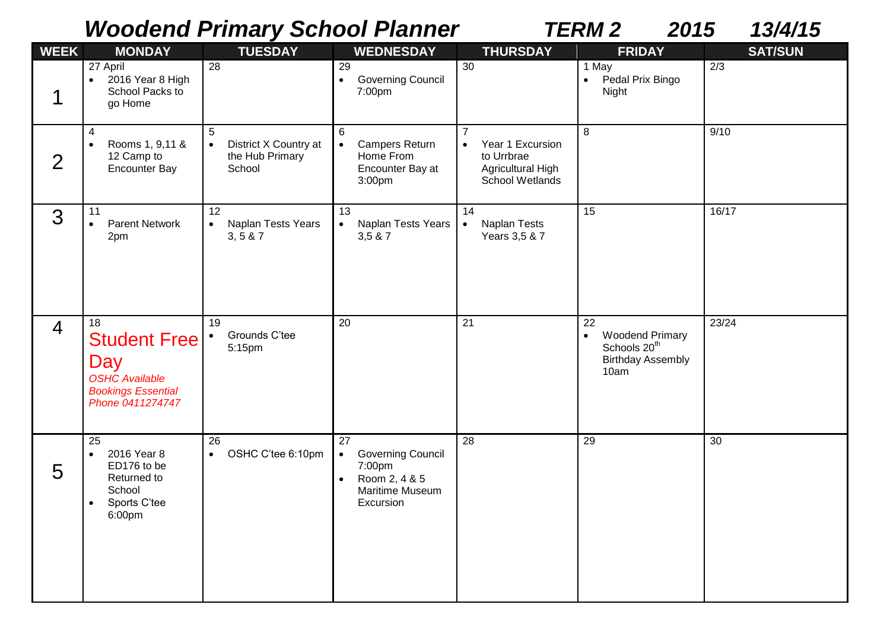## *Woodend Primary School Planner TERM 2 2015 13/4/15*

| <b>WEEK</b>    | <b>MONDAY</b>                                                                                                 | <b>TUESDAY</b>                                                       | <b>WEDNESDAY</b>                                                                                                    | <b>THURSDAY</b>                                                                                       | <b>FRIDAY</b>                                                                                             | <b>SAT/SUN</b> |
|----------------|---------------------------------------------------------------------------------------------------------------|----------------------------------------------------------------------|---------------------------------------------------------------------------------------------------------------------|-------------------------------------------------------------------------------------------------------|-----------------------------------------------------------------------------------------------------------|----------------|
| 1              | 27 April<br>2016 Year 8 High<br>$\bullet$<br>School Packs to<br>go Home                                       | 28                                                                   | 29<br><b>Governing Council</b><br>$\bullet$<br>7:00pm                                                               | 30                                                                                                    | 1 May<br>Pedal Prix Bingo<br>$\bullet$<br>Night                                                           | 2/3            |
| $\overline{2}$ | $\overline{4}$<br>Rooms 1, 9,11 &<br>$\bullet$<br>12 Camp to<br><b>Encounter Bay</b>                          | 5<br>District X Country at<br>$\bullet$<br>the Hub Primary<br>School | 6<br><b>Campers Return</b><br>$\bullet$<br>Home From<br>Encounter Bay at<br>3:00pm                                  | $\overline{7}$<br>Year 1 Excursion<br>$\bullet$<br>to Urrbrae<br>Agricultural High<br>School Wetlands | 8                                                                                                         | 9/10           |
| 3              | 11<br><b>Parent Network</b><br>$\bullet$<br>2pm                                                               | 12<br>Naplan Tests Years<br>$\bullet$<br>3, 5 & 87                   | 13<br>Naplan Tests Years<br>$\bullet$<br>3,5 & 7                                                                    | 14<br>Naplan Tests<br>$\bullet$<br>Years 3,5 & 7                                                      | 15                                                                                                        | 16/17          |
| $\overline{4}$ | 18<br><b>Student Free</b><br>Day<br><b>OSHC Available</b><br><b>Bookings Essential</b><br>Phone 0411274747    | 19<br>Grounds C'tee<br>$\bullet$<br>5:15pm                           | 20                                                                                                                  | 21                                                                                                    | 22<br><b>Woodend Primary</b><br>$\bullet$<br>Schools 20 <sup>th</sup><br><b>Birthday Assembly</b><br>10am | 23/24          |
| 5              | 25<br>2016 Year 8<br>$\bullet$<br>ED176 to be<br>Returned to<br>School<br>Sports C'tee<br>$\bullet$<br>6:00pm | 26<br>OSHC C'tee 6:10pm<br>$\bullet$                                 | 27<br><b>Governing Council</b><br>$\bullet$<br>7:00pm<br>Room 2, 4 & 5<br>$\bullet$<br>Maritime Museum<br>Excursion | 28                                                                                                    | 29                                                                                                        | 30             |